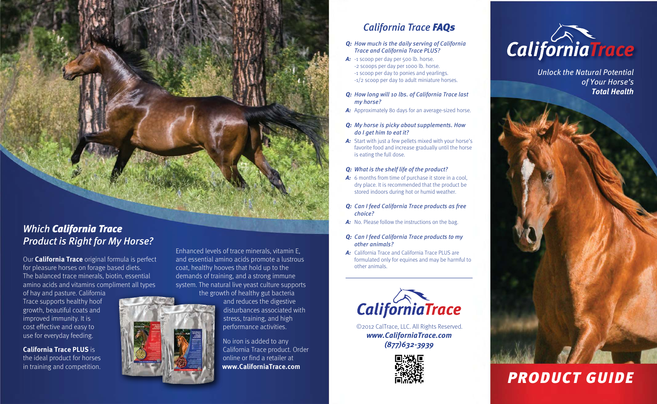*Which California Trace Product is Right for My Horse?*

Our **California Trace** original formula is perfect for pleasure horses on forage based diets. The balanced trace minerals, biotin, essential amino acids and vitamins compliment all types

of hay and pasture. California Trace supports healthy hoof growth, beautiful coats and improved immunity. It is cost effective and easy to use for everyday feeding.

**California Trace PLUS** is the ideal product for horses in training and competition.



Enhanced levels of trace minerals, vitamin E, and essential amino acids promote a lustrous coat, healthy hooves that hold up to the demands of training, and a strong immune system. The natural live yeast culture supports the growth of healthy gut bacteria

> and reduces the digestive disturbances associated with stress, training, and high performance activities.

No iron is added to any California Trace product. Order online or find a retailer at **www.CaliforniaTrace.com**

## *California Trace FAQs*

*Q: How much is the daily serving of California Trace and California Trace PLUS?*

A: -1 scoop per day per 500 lb. horse. -2 scoops per day per 1000 lb. horse. -1 scoop per day to ponies and yearlings. -1/2 scoop per day to adult miniature horses.

#### *Q: How long will 10 lbs. of California Trace last my horse?*

- *A:* Approximately 80 days for an average-sized horse.
- *Q: My horse is picky about supplements. How do I get him to eat it?*
- *A:* Start with just a few pellets mixed with your horse's favorite food and increase gradually until the horse is eating the full dose.

#### *Q: What is the shelf life of the product?*

- *A:* 6 months from time of purchase it store in a cool, dry place. It is recommended that the product be stored indoors during hot or humid weather.
- *Q: Can I feed California Trace products as free choice?*
- A: No. Please follow the instructions on the bag.
- *Q: Can I feed California Trace products to my other animals?*
- *A:* California Trace and California Trace PLUS are formulated only for equines and may be harmful to other animals.



©2012 CalTrace, LLC. All Rights Reserved. *www.CaliforniaTrace.com (877)632-3939*





*Unlock the Natural Potential of Your Horse's Total Health*

# *PRODUCT GUIDE*